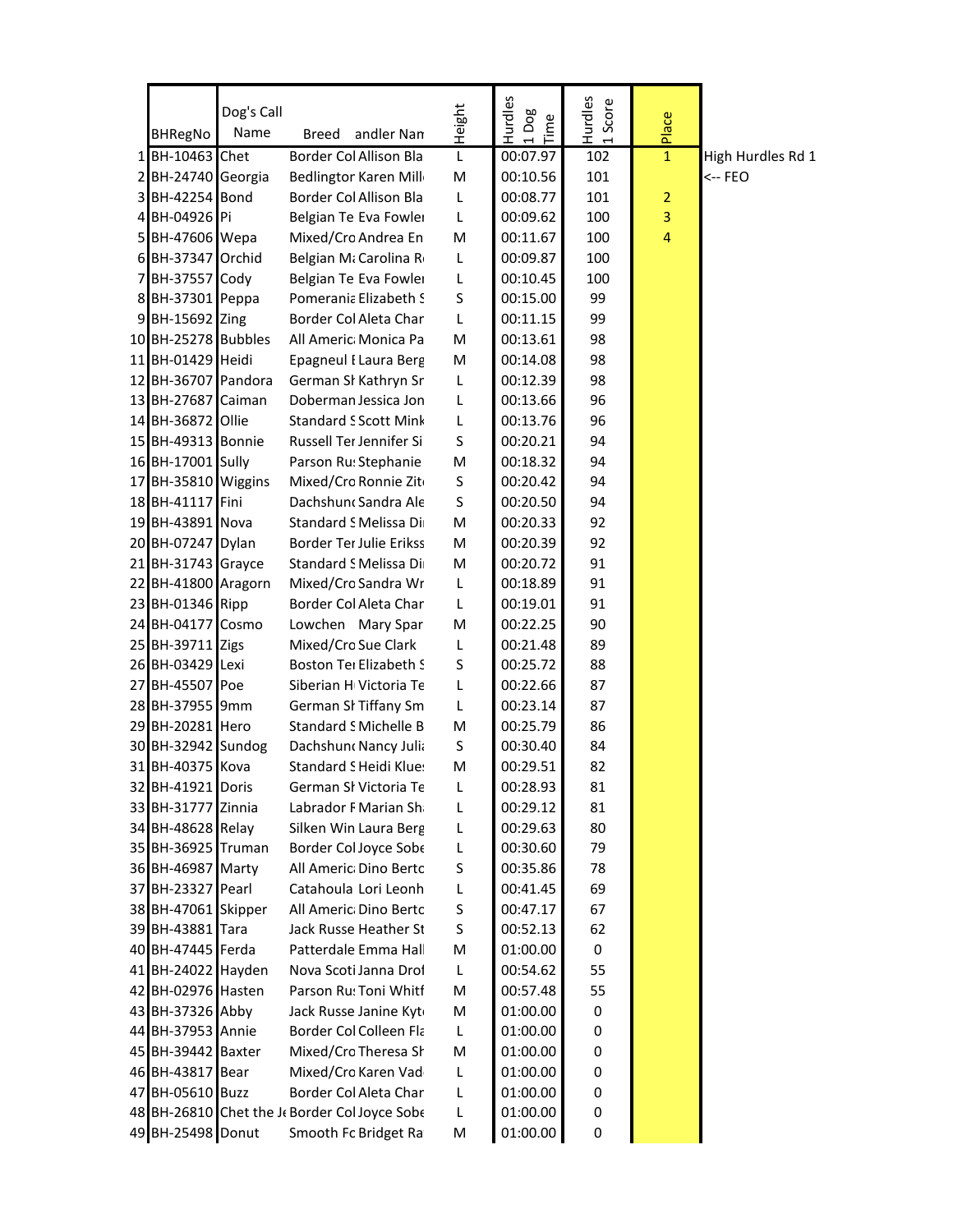|                                           | Dog's Call |                                                      | Height | Hurdles<br>1 Dog<br>Time | Hurdles<br>Score | Place        |                   |
|-------------------------------------------|------------|------------------------------------------------------|--------|--------------------------|------------------|--------------|-------------------|
| <b>BHRegNo</b>                            | Name       | andler Nan<br>Breed                                  |        |                          |                  |              |                   |
| 1 BH-10463 Chet                           |            | Border Col Allison Bla                               | L      | 00:07.97                 | 102              | $\mathbf{1}$ | High Hurdles Rd 1 |
| 2 BH-24740 Georgia                        |            | <b>Bedlingtor Karen Mill</b>                         | M      | 00:10.56                 | 101              |              | <-- FEO           |
| 3 BH-42254 Bond                           |            | Border Col Allison Bla                               | L      | 00:08.77                 | 101              | 2            |                   |
| 4 BH-04926 Pi                             |            | Belgian Te Eva Fowlei                                | L      | 00:09.62                 | 100              | $\mathsf 3$  |                   |
| 5 BH-47606 Wepa                           |            | Mixed/Cro Andrea En                                  | M      | 00:11.67                 | 100              | 4            |                   |
| 6 BH-37347 Orchid                         |            | Belgian Mi Carolina Ro                               | L      | 00:09.87                 | 100              |              |                   |
| 7 BH-37557 Cody                           |            | Belgian Te Eva Fowlei                                | L      | 00:10.45                 | 100              |              |                   |
| 8 BH-37301 Peppa                          |            | Pomerania Elizabeth S                                | S      | 00:15.00                 | 99               |              |                   |
| 9 BH-15692 Zing                           |            | Border Col Aleta Char                                | L<br>M | 00:11.15                 | 99               |              |                   |
| 10 BH-25278 Bubbles                       |            | All Americ: Monica Pa                                |        | 00:13.61                 | 98               |              |                   |
| 11 BH-01429 Heidi                         |            | <b>Epagneul I Laura Berg</b>                         | M      | 00:14.08                 | 98               |              |                   |
| 12 BH-36707 Pandora<br>13 BH-27687 Caiman |            | German SI Kathryn Sr                                 | L      | 00:12.39<br>00:13.66     | 98               |              |                   |
| 14 BH-36872 Ollie                         |            | Doberman Jessica Jon<br><b>Standard S Scott Mink</b> | L<br>L | 00:13.76                 | 96<br>96         |              |                   |
| 15 BH-49313 Bonnie                        |            | Russell Ter Jennifer Si                              | S      | 00:20.21                 | 94               |              |                   |
| 16 BH-17001 Sully                         |            | Parson Ru: Stephanie                                 | M      | 00:18.32                 | 94               |              |                   |
| 17 BH-35810 Wiggins                       |            | Mixed/Cro Ronnie Zit                                 | S      | 00:20.42                 | 94               |              |                   |
| 18 BH-41117 Fini                          |            | Dachshun Sandra Ale                                  | S      | 00:20.50                 | 94               |              |                   |
| 19 BH-43891 Nova                          |            | Standard S Melissa Di                                | M      | 00:20.33                 | 92               |              |                   |
| 20 BH-07247 Dylan                         |            | Border Ter Julie Erikss                              | M      | 00:20.39                 | 92               |              |                   |
| 21 BH-31743 Grayce                        |            | Standard S Melissa Di                                | M      | 00:20.72                 | 91               |              |                   |
| 22 BH-41800 Aragorn                       |            | Mixed/Cro Sandra Wr                                  | L      | 00:18.89                 | 91               |              |                   |
| 23 BH-01346 Ripp                          |            | Border Col Aleta Char                                | L      | 00:19.01                 | 91               |              |                   |
| 24 BH-04177 Cosmo                         |            | Lowchen Mary Spar                                    | M      | 00:22.25                 | 90               |              |                   |
| 25 BH-39711 Zigs                          |            | Mixed/Cro Sue Clark                                  | L      | 00:21.48                 | 89               |              |                   |
| 26 BH-03429 Lexi                          |            | Boston Ter Elizabeth S                               | S      | 00:25.72                 | 88               |              |                   |
| 27 BH-45507 Poe                           |            | Siberian H Victoria Te                               | L      | 00:22.66                 | 87               |              |                   |
| 28 BH-37955 9mm                           |            | German SI Tiffany Sm                                 | L      | 00:23.14                 | 87               |              |                   |
| 29 BH-20281 Hero                          |            | <b>Standard S Michelle B</b>                         | M      | 00:25.79                 | 86               |              |                   |
| 30 BH-32942 Sundog                        |            | Dachshund Nancy Julia                                | S      | 00:30.40                 | 84               |              |                   |
| 31 BH-40375 Kova                          |            | Standard S Heidi Klue:                               | M      | 00:29.51                 | 82               |              |                   |
| 32 BH-41921 Doris                         |            | German Sl Victoria Te                                | L      | 00:28.93                 | 81               |              |                   |
| 33 BH-31777 Zinnia                        |            | Labrador F Marian Sha                                | L      | 00:29.12                 | 81               |              |                   |
| 34 BH-48628 Relay                         |            | Silken Win Laura Berg                                | L      | 00:29.63                 | 80               |              |                   |
| 35 BH-36925 Truman                        |            | Border Col Joyce Sobe                                | L      | 00:30.60                 | 79               |              |                   |
| 36 BH-46987 Marty                         |            | All Americ: Dino Bertc                               | S      | 00:35.86                 | 78               |              |                   |
| 37 BH-23327 Pearl                         |            | Catahoula Lori Leonh                                 | L      | 00:41.45                 | 69               |              |                   |
| 38 BH-47061 Skipper                       |            | All Americ: Dino Bertc                               | S      | 00:47.17                 | 67               |              |                   |
| 39 BH-43881 Tara                          |            | Jack Russe Heather St                                | S      | 00:52.13                 | 62               |              |                   |
| 40 BH-47445 Ferda                         |            | Patterdale Emma Hall                                 | M      | 01:00.00                 | 0                |              |                   |
| 41 BH-24022 Hayden                        |            | Nova Scoti Janna Droi                                | L      | 00:54.62                 | 55               |              |                   |
| 42 BH-02976 Hasten                        |            | Parson Ru: Toni Whitf                                | M      | 00:57.48                 | 55               |              |                   |
| 43 BH-37326 Abby                          |            | Jack Russe Janine Kyt                                | M      | 01:00.00                 | 0                |              |                   |
| 44 BH-37953 Annie                         |            | Border Col Colleen Fla                               | L      | 01:00.00                 | 0                |              |                   |
| 45 BH-39442 Baxter                        |            | Mixed/Cro Theresa Sh                                 | M      | 01:00.00                 | 0                |              |                   |
| 46 BH-43817 Bear                          |            | Mixed/Cro Karen Vad                                  | L      | 01:00.00                 | 0                |              |                   |
| 47 BH-05610 Buzz                          |            | Border Col Aleta Char                                | L      | 01:00.00                 | 0                |              |                   |
|                                           |            | 48 BH-26810 Chet the J Border Col Joyce Sobe         | L      | 01:00.00                 | 0                |              |                   |
| 49 BH-25498 Donut                         |            | Smooth Fc Bridget Ra                                 | M      | 01:00.00                 | 0                |              |                   |